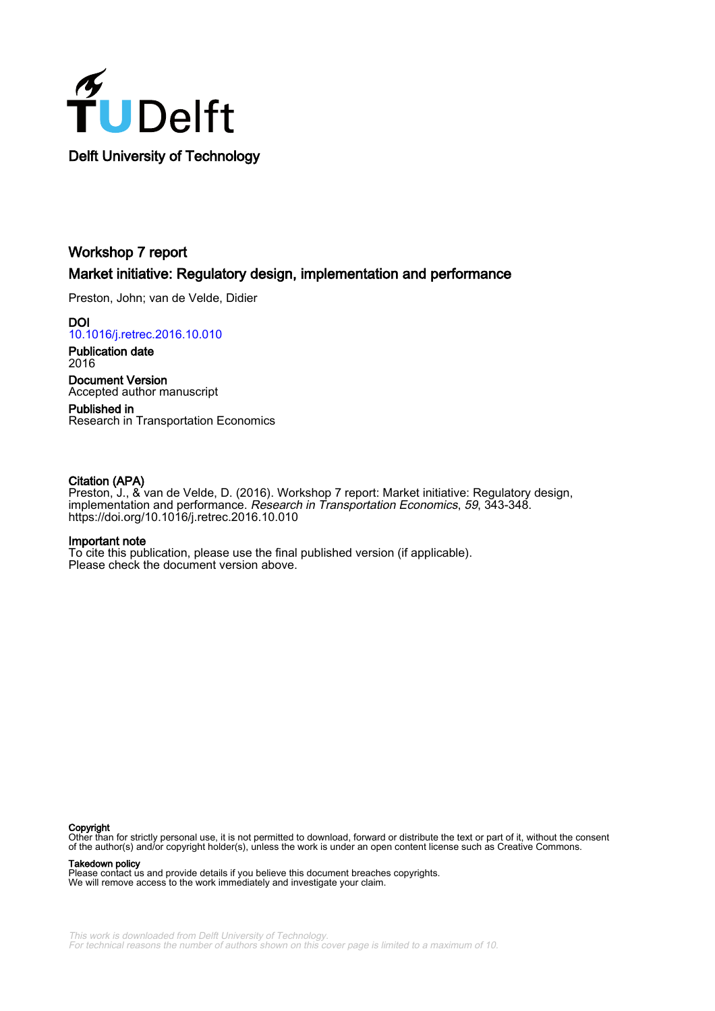

# Workshop 7 report Market initiative: Regulatory design, implementation and performance

Preston, John; van de Velde, Didier

**DOI** [10.1016/j.retrec.2016.10.010](https://doi.org/10.1016/j.retrec.2016.10.010)

Publication date 2016

Document Version Accepted author manuscript

Published in Research in Transportation Economics

### Citation (APA)

Preston, J., & van de Velde, D. (2016). Workshop 7 report: Market initiative: Regulatory design, implementation and performance. Research in Transportation Economics, 59, 343-348. <https://doi.org/10.1016/j.retrec.2016.10.010>

### Important note

To cite this publication, please use the final published version (if applicable). Please check the document version above.

#### Copyright

Other than for strictly personal use, it is not permitted to download, forward or distribute the text or part of it, without the consent of the author(s) and/or copyright holder(s), unless the work is under an open content license such as Creative Commons.

Takedown policy

Please contact us and provide details if you believe this document breaches copyrights. We will remove access to the work immediately and investigate your claim.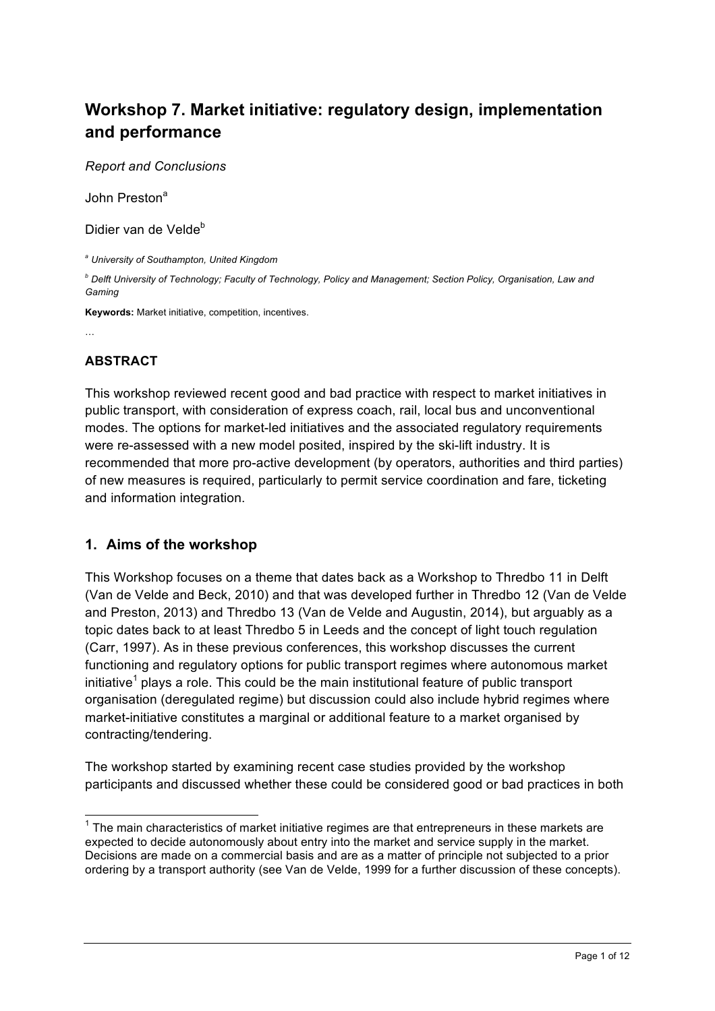# **Workshop 7. Market initiative: regulatory design, implementation and performance**

*Report and Conclusions*

John Preston<sup>a</sup>

Didier van de Velde<sup>b</sup>

*<sup>a</sup> University of Southampton, United Kingdom*

*<sup>b</sup> Delft University of Technology; Faculty of Technology, Policy and Management; Section Policy, Organisation, Law and Gaming*

**Keywords:** Market initiative, competition, incentives.

# **ABSTRACT**

…

This workshop reviewed recent good and bad practice with respect to market initiatives in public transport, with consideration of express coach, rail, local bus and unconventional modes. The options for market-led initiatives and the associated regulatory requirements were re-assessed with a new model posited, inspired by the ski-lift industry. It is recommended that more pro-active development (by operators, authorities and third parties) of new measures is required, particularly to permit service coordination and fare, ticketing and information integration.

## **1. Aims of the workshop**

This Workshop focuses on a theme that dates back as a Workshop to Thredbo 11 in Delft (Van de Velde and Beck, 2010) and that was developed further in Thredbo 12 (Van de Velde and Preston, 2013) and Thredbo 13 (Van de Velde and Augustin, 2014), but arguably as a topic dates back to at least Thredbo 5 in Leeds and the concept of light touch regulation (Carr, 1997). As in these previous conferences, this workshop discusses the current functioning and regulatory options for public transport regimes where autonomous market initiative<sup>1</sup> plays a role. This could be the main institutional feature of public transport organisation (deregulated regime) but discussion could also include hybrid regimes where market-initiative constitutes a marginal or additional feature to a market organised by contracting/tendering.

The workshop started by examining recent case studies provided by the workshop participants and discussed whether these could be considered good or bad practices in both

 $1$  The main characteristics of market initiative regimes are that entrepreneurs in these markets are expected to decide autonomously about entry into the market and service supply in the market. Decisions are made on a commercial basis and are as a matter of principle not subjected to a prior ordering by a transport authority (see Van de Velde, 1999 for a further discussion of these concepts).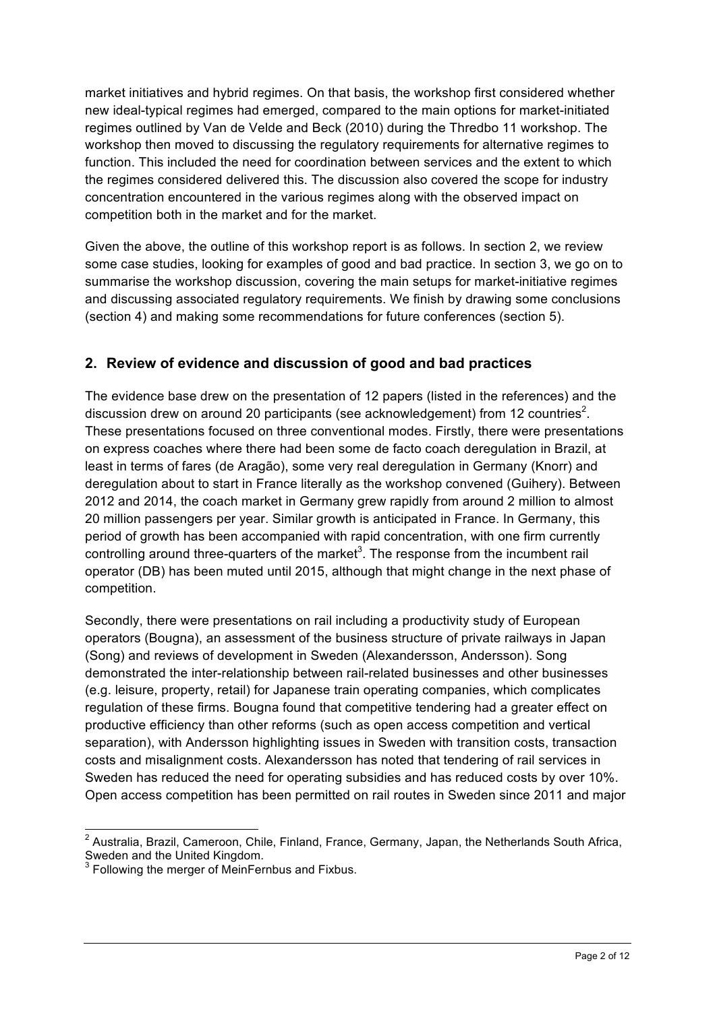market initiatives and hybrid regimes. On that basis, the workshop first considered whether new ideal-typical regimes had emerged, compared to the main options for market-initiated regimes outlined by Van de Velde and Beck (2010) during the Thredbo 11 workshop. The workshop then moved to discussing the regulatory requirements for alternative regimes to function. This included the need for coordination between services and the extent to which the regimes considered delivered this. The discussion also covered the scope for industry concentration encountered in the various regimes along with the observed impact on competition both in the market and for the market.

Given the above, the outline of this workshop report is as follows. In section 2, we review some case studies, looking for examples of good and bad practice. In section 3, we go on to summarise the workshop discussion, covering the main setups for market-initiative regimes and discussing associated regulatory requirements. We finish by drawing some conclusions (section 4) and making some recommendations for future conferences (section 5).

# **2. Review of evidence and discussion of good and bad practices**

The evidence base drew on the presentation of 12 papers (listed in the references) and the discussion drew on around 20 participants (see acknowledgement) from 12 countries<sup>2</sup>. These presentations focused on three conventional modes. Firstly, there were presentations on express coaches where there had been some de facto coach deregulation in Brazil, at least in terms of fares (de Aragão), some very real deregulation in Germany (Knorr) and deregulation about to start in France literally as the workshop convened (Guihery). Between 2012 and 2014, the coach market in Germany grew rapidly from around 2 million to almost 20 million passengers per year. Similar growth is anticipated in France. In Germany, this period of growth has been accompanied with rapid concentration, with one firm currently controlling around three-quarters of the market<sup>3</sup>. The response from the incumbent rail operator (DB) has been muted until 2015, although that might change in the next phase of competition.

Secondly, there were presentations on rail including a productivity study of European operators (Bougna), an assessment of the business structure of private railways in Japan (Song) and reviews of development in Sweden (Alexandersson, Andersson). Song demonstrated the inter-relationship between rail-related businesses and other businesses (e.g. leisure, property, retail) for Japanese train operating companies, which complicates regulation of these firms. Bougna found that competitive tendering had a greater effect on productive efficiency than other reforms (such as open access competition and vertical separation), with Andersson highlighting issues in Sweden with transition costs, transaction costs and misalignment costs. Alexandersson has noted that tendering of rail services in Sweden has reduced the need for operating subsidies and has reduced costs by over 10%. Open access competition has been permitted on rail routes in Sweden since 2011 and major

 $2$  Australia, Brazil, Cameroon, Chile, Finland, France, Germany, Japan, the Netherlands South Africa, Sweden and the United Kingdom.

<sup>&</sup>lt;sup>3</sup> Following the merger of MeinFernbus and Fixbus.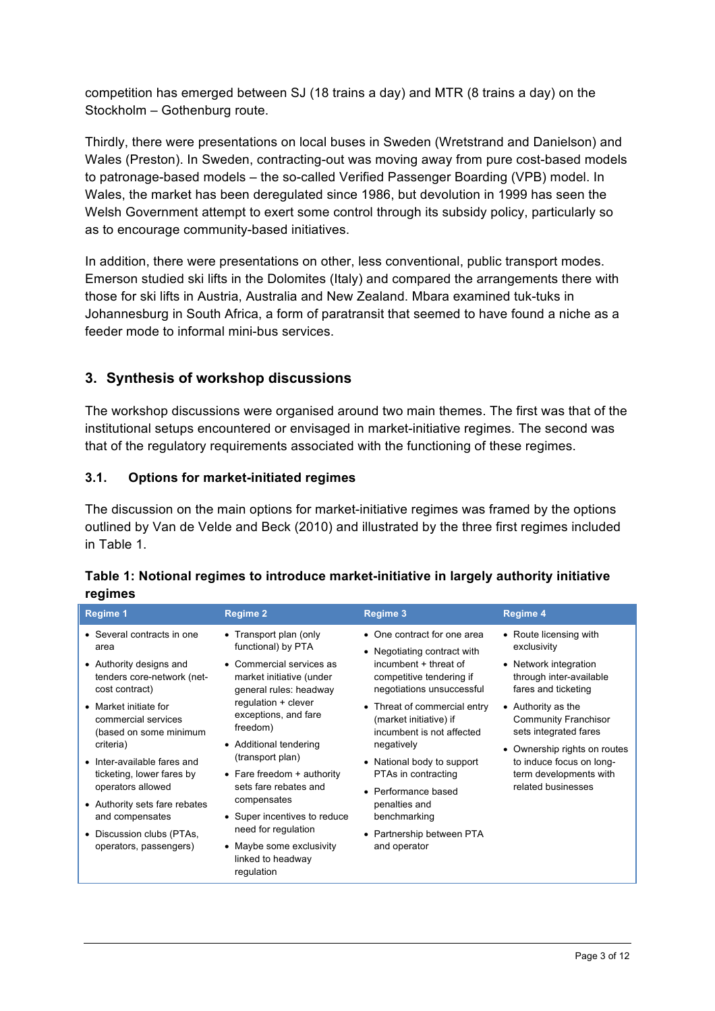competition has emerged between SJ (18 trains a day) and MTR (8 trains a day) on the Stockholm – Gothenburg route.

Thirdly, there were presentations on local buses in Sweden (Wretstrand and Danielson) and Wales (Preston). In Sweden, contracting-out was moving away from pure cost-based models to patronage-based models – the so-called Verified Passenger Boarding (VPB) model. In Wales, the market has been deregulated since 1986, but devolution in 1999 has seen the Welsh Government attempt to exert some control through its subsidy policy, particularly so as to encourage community-based initiatives.

In addition, there were presentations on other, less conventional, public transport modes. Emerson studied ski lifts in the Dolomites (Italy) and compared the arrangements there with those for ski lifts in Austria, Australia and New Zealand. Mbara examined tuk-tuks in Johannesburg in South Africa, a form of paratransit that seemed to have found a niche as a feeder mode to informal mini-bus services.

## **3. Synthesis of workshop discussions**

The workshop discussions were organised around two main themes. The first was that of the institutional setups encountered or envisaged in market-initiative regimes. The second was that of the regulatory requirements associated with the functioning of these regimes.

### **3.1. Options for market-initiated regimes**

The discussion on the main options for market-initiative regimes was framed by the options outlined by Van de Velde and Beck (2010) and illustrated by the three first regimes included in Table 1.

| Table 1: Notional regimes to introduce market-initiative in largely authority initiative |  |
|------------------------------------------------------------------------------------------|--|
| regimes                                                                                  |  |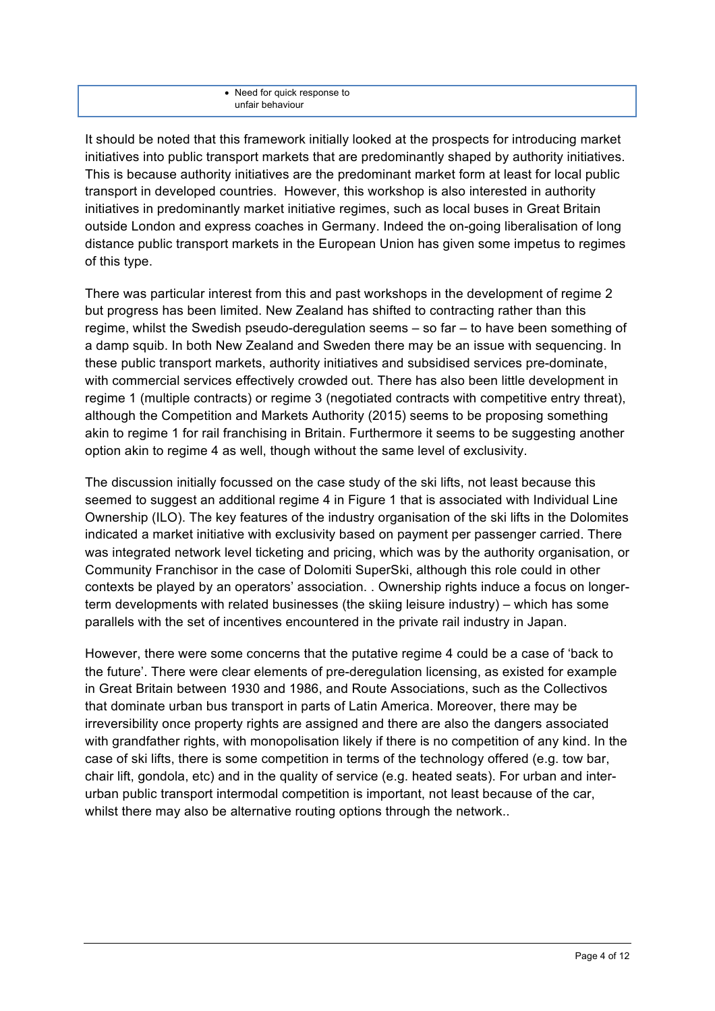#### • Need for quick response to unfair behaviour

It should be noted that this framework initially looked at the prospects for introducing market initiatives into public transport markets that are predominantly shaped by authority initiatives. This is because authority initiatives are the predominant market form at least for local public transport in developed countries. However, this workshop is also interested in authority initiatives in predominantly market initiative regimes, such as local buses in Great Britain outside London and express coaches in Germany. Indeed the on-going liberalisation of long distance public transport markets in the European Union has given some impetus to regimes of this type.

There was particular interest from this and past workshops in the development of regime 2 but progress has been limited. New Zealand has shifted to contracting rather than this regime, whilst the Swedish pseudo-deregulation seems – so far – to have been something of a damp squib. In both New Zealand and Sweden there may be an issue with sequencing. In these public transport markets, authority initiatives and subsidised services pre-dominate, with commercial services effectively crowded out. There has also been little development in regime 1 (multiple contracts) or regime 3 (negotiated contracts with competitive entry threat), although the Competition and Markets Authority (2015) seems to be proposing something akin to regime 1 for rail franchising in Britain. Furthermore it seems to be suggesting another option akin to regime 4 as well, though without the same level of exclusivity.

The discussion initially focussed on the case study of the ski lifts, not least because this seemed to suggest an additional regime 4 in Figure 1 that is associated with Individual Line Ownership (ILO). The key features of the industry organisation of the ski lifts in the Dolomites indicated a market initiative with exclusivity based on payment per passenger carried. There was integrated network level ticketing and pricing, which was by the authority organisation, or Community Franchisor in the case of Dolomiti SuperSki, although this role could in other contexts be played by an operators' association. . Ownership rights induce a focus on longerterm developments with related businesses (the skiing leisure industry) – which has some parallels with the set of incentives encountered in the private rail industry in Japan.

However, there were some concerns that the putative regime 4 could be a case of 'back to the future'. There were clear elements of pre-deregulation licensing, as existed for example in Great Britain between 1930 and 1986, and Route Associations, such as the Collectivos that dominate urban bus transport in parts of Latin America. Moreover, there may be irreversibility once property rights are assigned and there are also the dangers associated with grandfather rights, with monopolisation likely if there is no competition of any kind. In the case of ski lifts, there is some competition in terms of the technology offered (e.g. tow bar, chair lift, gondola, etc) and in the quality of service (e.g. heated seats). For urban and interurban public transport intermodal competition is important, not least because of the car, whilst there may also be alternative routing options through the network..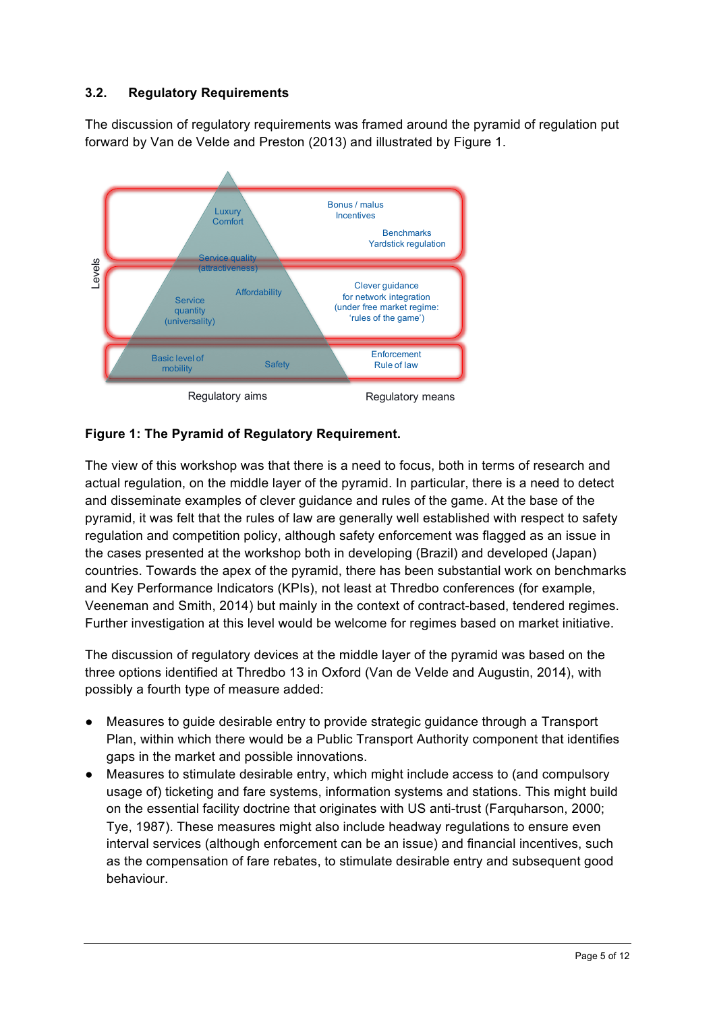## **3.2. Regulatory Requirements**

The discussion of regulatory requirements was framed around the pyramid of regulation put forward by Van de Velde and Preston (2013) and illustrated by Figure 1.



## **Figure 1: The Pyramid of Regulatory Requirement.**

The view of this workshop was that there is a need to focus, both in terms of research and actual regulation, on the middle layer of the pyramid. In particular, there is a need to detect and disseminate examples of clever guidance and rules of the game. At the base of the pyramid, it was felt that the rules of law are generally well established with respect to safety regulation and competition policy, although safety enforcement was flagged as an issue in the cases presented at the workshop both in developing (Brazil) and developed (Japan) countries. Towards the apex of the pyramid, there has been substantial work on benchmarks and Key Performance Indicators (KPIs), not least at Thredbo conferences (for example, Veeneman and Smith, 2014) but mainly in the context of contract-based, tendered regimes. Further investigation at this level would be welcome for regimes based on market initiative.

The discussion of regulatory devices at the middle layer of the pyramid was based on the three options identified at Thredbo 13 in Oxford (Van de Velde and Augustin, 2014), with possibly a fourth type of measure added:

- Measures to guide desirable entry to provide strategic guidance through a Transport Plan, within which there would be a Public Transport Authority component that identifies gaps in the market and possible innovations.
- Measures to stimulate desirable entry, which might include access to (and compulsory usage of) ticketing and fare systems, information systems and stations. This might build on the essential facility doctrine that originates with US anti-trust (Farquharson, 2000; Tye, 1987). These measures might also include headway regulations to ensure even interval services (although enforcement can be an issue) and financial incentives, such as the compensation of fare rebates, to stimulate desirable entry and subsequent good behaviour.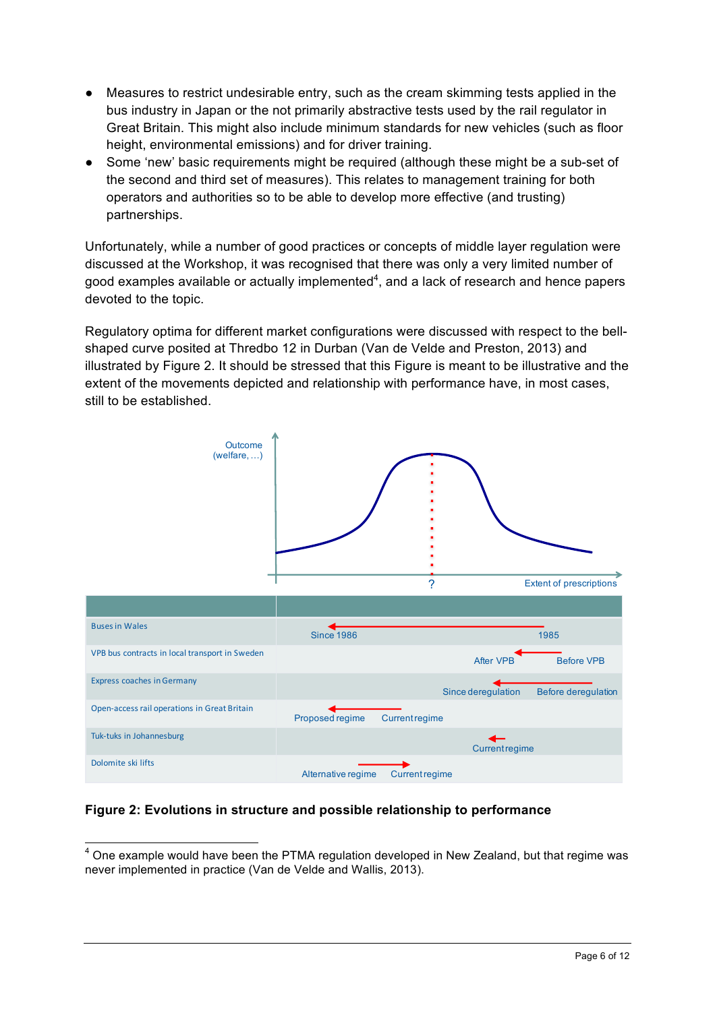- Measures to restrict undesirable entry, such as the cream skimming tests applied in the bus industry in Japan or the not primarily abstractive tests used by the rail regulator in Great Britain. This might also include minimum standards for new vehicles (such as floor height, environmental emissions) and for driver training.
- Some 'new' basic requirements might be required (although these might be a sub-set of the second and third set of measures). This relates to management training for both operators and authorities so to be able to develop more effective (and trusting) partnerships.

Unfortunately, while a number of good practices or concepts of middle layer regulation were discussed at the Workshop, it was recognised that there was only a very limited number of good examples available or actually implemented $^4$ , and a lack of research and hence papers devoted to the topic.

Regulatory optima for different market configurations were discussed with respect to the bellshaped curve posited at Thredbo 12 in Durban (Van de Velde and Preston, 2013) and illustrated by Figure 2. It should be stressed that this Figure is meant to be illustrative and the extent of the movements depicted and relationship with performance have, in most cases, still to be established.



## **Figure 2: Evolutions in structure and possible relationship to performance**

 $4$  One example would have been the PTMA regulation developed in New Zealand, but that regime was never implemented in practice (Van de Velde and Wallis, 2013).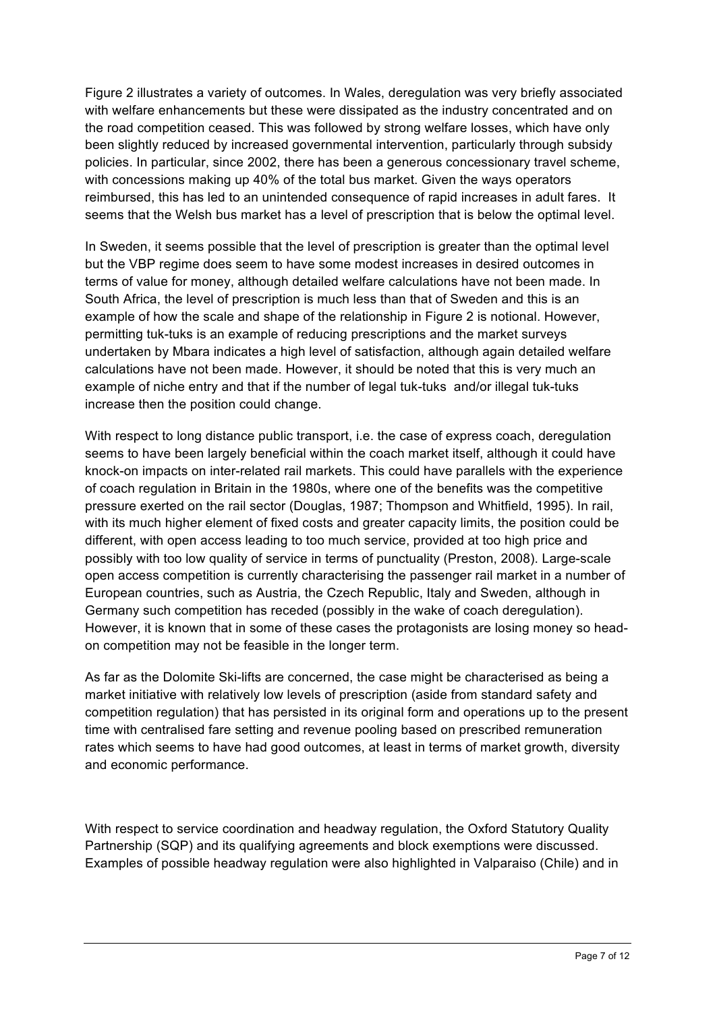Figure 2 illustrates a variety of outcomes. In Wales, deregulation was very briefly associated with welfare enhancements but these were dissipated as the industry concentrated and on the road competition ceased. This was followed by strong welfare losses, which have only been slightly reduced by increased governmental intervention, particularly through subsidy policies. In particular, since 2002, there has been a generous concessionary travel scheme, with concessions making up 40% of the total bus market. Given the ways operators reimbursed, this has led to an unintended consequence of rapid increases in adult fares. It seems that the Welsh bus market has a level of prescription that is below the optimal level.

In Sweden, it seems possible that the level of prescription is greater than the optimal level but the VBP regime does seem to have some modest increases in desired outcomes in terms of value for money, although detailed welfare calculations have not been made. In South Africa, the level of prescription is much less than that of Sweden and this is an example of how the scale and shape of the relationship in Figure 2 is notional. However, permitting tuk-tuks is an example of reducing prescriptions and the market surveys undertaken by Mbara indicates a high level of satisfaction, although again detailed welfare calculations have not been made. However, it should be noted that this is very much an example of niche entry and that if the number of legal tuk-tuks and/or illegal tuk-tuks increase then the position could change.

With respect to long distance public transport, i.e. the case of express coach, deregulation seems to have been largely beneficial within the coach market itself, although it could have knock-on impacts on inter-related rail markets. This could have parallels with the experience of coach regulation in Britain in the 1980s, where one of the benefits was the competitive pressure exerted on the rail sector (Douglas, 1987; Thompson and Whitfield, 1995). In rail, with its much higher element of fixed costs and greater capacity limits, the position could be different, with open access leading to too much service, provided at too high price and possibly with too low quality of service in terms of punctuality (Preston, 2008). Large-scale open access competition is currently characterising the passenger rail market in a number of European countries, such as Austria, the Czech Republic, Italy and Sweden, although in Germany such competition has receded (possibly in the wake of coach deregulation). However, it is known that in some of these cases the protagonists are losing money so headon competition may not be feasible in the longer term.

As far as the Dolomite Ski-lifts are concerned, the case might be characterised as being a market initiative with relatively low levels of prescription (aside from standard safety and competition regulation) that has persisted in its original form and operations up to the present time with centralised fare setting and revenue pooling based on prescribed remuneration rates which seems to have had good outcomes, at least in terms of market growth, diversity and economic performance.

With respect to service coordination and headway regulation, the Oxford Statutory Quality Partnership (SQP) and its qualifying agreements and block exemptions were discussed. Examples of possible headway regulation were also highlighted in Valparaiso (Chile) and in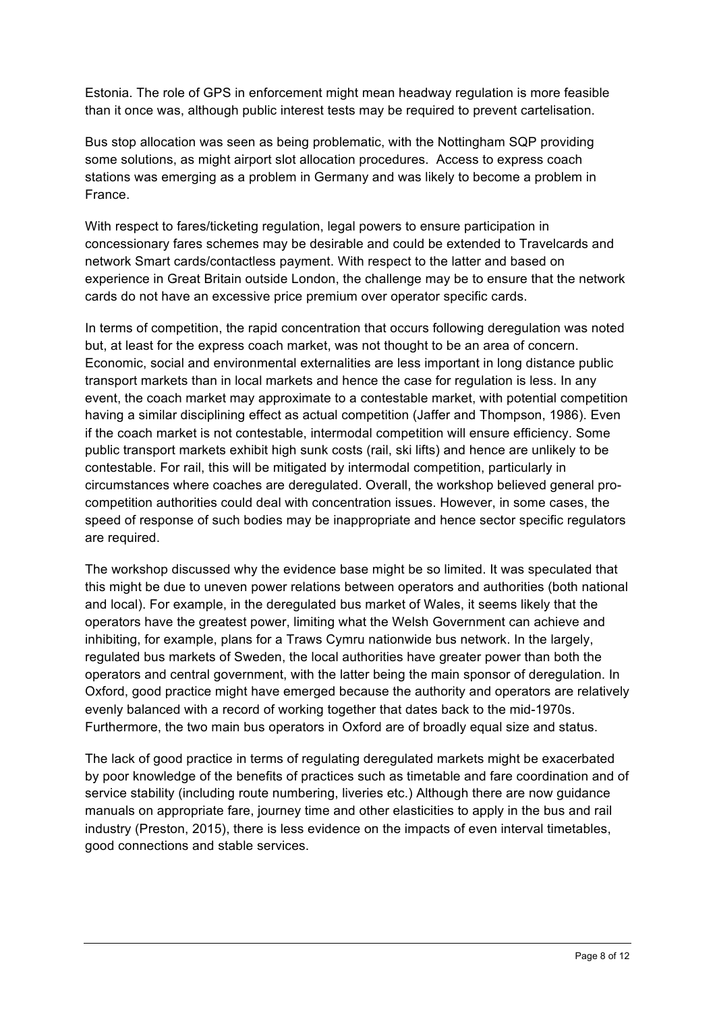Estonia. The role of GPS in enforcement might mean headway regulation is more feasible than it once was, although public interest tests may be required to prevent cartelisation.

Bus stop allocation was seen as being problematic, with the Nottingham SQP providing some solutions, as might airport slot allocation procedures. Access to express coach stations was emerging as a problem in Germany and was likely to become a problem in France.

With respect to fares/ticketing regulation, legal powers to ensure participation in concessionary fares schemes may be desirable and could be extended to Travelcards and network Smart cards/contactless payment. With respect to the latter and based on experience in Great Britain outside London, the challenge may be to ensure that the network cards do not have an excessive price premium over operator specific cards.

In terms of competition, the rapid concentration that occurs following deregulation was noted but, at least for the express coach market, was not thought to be an area of concern. Economic, social and environmental externalities are less important in long distance public transport markets than in local markets and hence the case for regulation is less. In any event, the coach market may approximate to a contestable market, with potential competition having a similar disciplining effect as actual competition (Jaffer and Thompson, 1986). Even if the coach market is not contestable, intermodal competition will ensure efficiency. Some public transport markets exhibit high sunk costs (rail, ski lifts) and hence are unlikely to be contestable. For rail, this will be mitigated by intermodal competition, particularly in circumstances where coaches are deregulated. Overall, the workshop believed general procompetition authorities could deal with concentration issues. However, in some cases, the speed of response of such bodies may be inappropriate and hence sector specific regulators are required.

The workshop discussed why the evidence base might be so limited. It was speculated that this might be due to uneven power relations between operators and authorities (both national and local). For example, in the deregulated bus market of Wales, it seems likely that the operators have the greatest power, limiting what the Welsh Government can achieve and inhibiting, for example, plans for a Traws Cymru nationwide bus network. In the largely, regulated bus markets of Sweden, the local authorities have greater power than both the operators and central government, with the latter being the main sponsor of deregulation. In Oxford, good practice might have emerged because the authority and operators are relatively evenly balanced with a record of working together that dates back to the mid-1970s. Furthermore, the two main bus operators in Oxford are of broadly equal size and status.

The lack of good practice in terms of regulating deregulated markets might be exacerbated by poor knowledge of the benefits of practices such as timetable and fare coordination and of service stability (including route numbering, liveries etc.) Although there are now guidance manuals on appropriate fare, journey time and other elasticities to apply in the bus and rail industry (Preston, 2015), there is less evidence on the impacts of even interval timetables, good connections and stable services.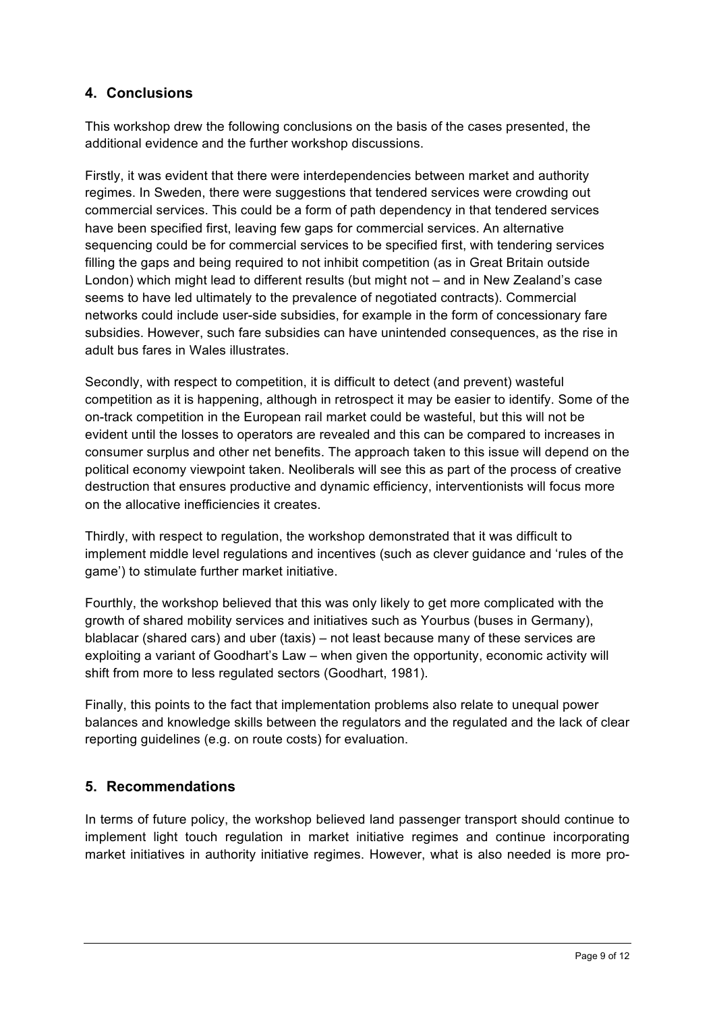# **4. Conclusions**

This workshop drew the following conclusions on the basis of the cases presented, the additional evidence and the further workshop discussions.

Firstly, it was evident that there were interdependencies between market and authority regimes. In Sweden, there were suggestions that tendered services were crowding out commercial services. This could be a form of path dependency in that tendered services have been specified first, leaving few gaps for commercial services. An alternative sequencing could be for commercial services to be specified first, with tendering services filling the gaps and being required to not inhibit competition (as in Great Britain outside London) which might lead to different results (but might not – and in New Zealand's case seems to have led ultimately to the prevalence of negotiated contracts). Commercial networks could include user-side subsidies, for example in the form of concessionary fare subsidies. However, such fare subsidies can have unintended consequences, as the rise in adult bus fares in Wales illustrates.

Secondly, with respect to competition, it is difficult to detect (and prevent) wasteful competition as it is happening, although in retrospect it may be easier to identify. Some of the on-track competition in the European rail market could be wasteful, but this will not be evident until the losses to operators are revealed and this can be compared to increases in consumer surplus and other net benefits. The approach taken to this issue will depend on the political economy viewpoint taken. Neoliberals will see this as part of the process of creative destruction that ensures productive and dynamic efficiency, interventionists will focus more on the allocative inefficiencies it creates.

Thirdly, with respect to regulation, the workshop demonstrated that it was difficult to implement middle level regulations and incentives (such as clever guidance and 'rules of the game') to stimulate further market initiative.

Fourthly, the workshop believed that this was only likely to get more complicated with the growth of shared mobility services and initiatives such as Yourbus (buses in Germany), blablacar (shared cars) and uber (taxis) – not least because many of these services are exploiting a variant of Goodhart's Law – when given the opportunity, economic activity will shift from more to less regulated sectors (Goodhart, 1981).

Finally, this points to the fact that implementation problems also relate to unequal power balances and knowledge skills between the regulators and the regulated and the lack of clear reporting guidelines (e.g. on route costs) for evaluation.

# **5. Recommendations**

In terms of future policy, the workshop believed land passenger transport should continue to implement light touch regulation in market initiative regimes and continue incorporating market initiatives in authority initiative regimes. However, what is also needed is more pro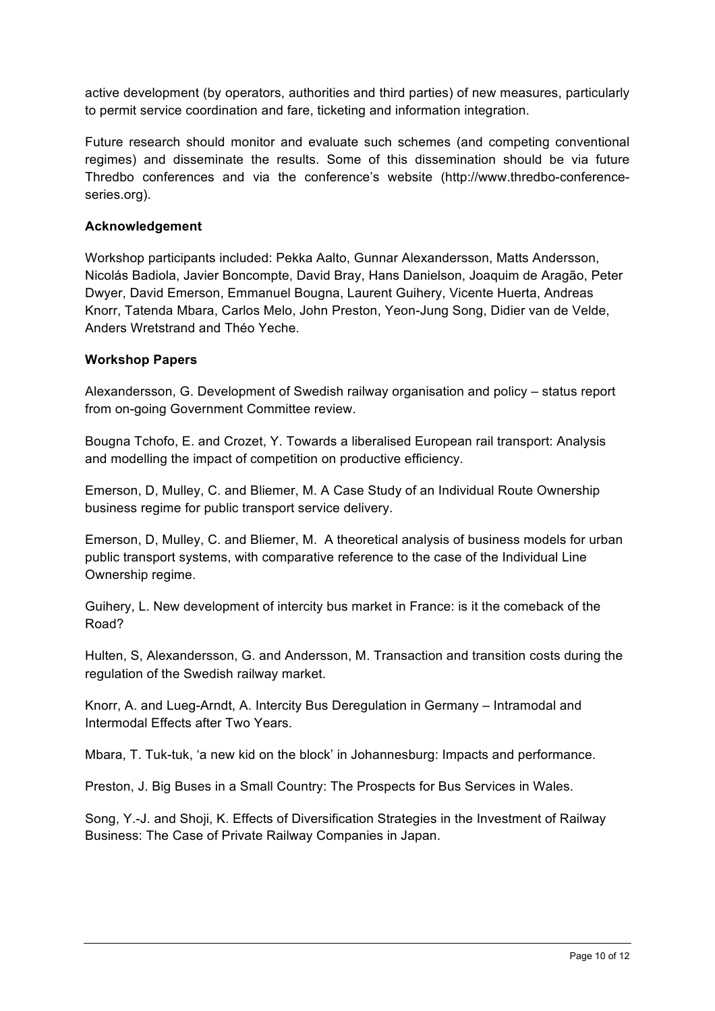active development (by operators, authorities and third parties) of new measures, particularly to permit service coordination and fare, ticketing and information integration.

Future research should monitor and evaluate such schemes (and competing conventional regimes) and disseminate the results. Some of this dissemination should be via future Thredbo conferences and via the conference's website (http://www.thredbo-conferenceseries.org).

### **Acknowledgement**

Workshop participants included: Pekka Aalto, Gunnar Alexandersson, Matts Andersson, Nicolás Badiola, Javier Boncompte, David Bray, Hans Danielson, Joaquim de Aragão, Peter Dwyer, David Emerson, Emmanuel Bougna, Laurent Guihery, Vicente Huerta, Andreas Knorr, Tatenda Mbara, Carlos Melo, John Preston, Yeon-Jung Song, Didier van de Velde, Anders Wretstrand and Théo Yeche.

### **Workshop Papers**

Alexandersson, G. Development of Swedish railway organisation and policy – status report from on-going Government Committee review.

Bougna Tchofo, E. and Crozet, Y. Towards a liberalised European rail transport: Analysis and modelling the impact of competition on productive efficiency.

Emerson, D, Mulley, C. and Bliemer, M. A Case Study of an Individual Route Ownership business regime for public transport service delivery.

Emerson, D, Mulley, C. and Bliemer, M. A theoretical analysis of business models for urban public transport systems, with comparative reference to the case of the Individual Line Ownership regime.

Guihery, L. New development of intercity bus market in France: is it the comeback of the Road?

Hulten, S, Alexandersson, G. and Andersson, M. Transaction and transition costs during the regulation of the Swedish railway market.

Knorr, A. and Lueg-Arndt, A. Intercity Bus Deregulation in Germany – Intramodal and Intermodal Effects after Two Years.

Mbara, T. Tuk-tuk, 'a new kid on the block' in Johannesburg: Impacts and performance.

Preston, J. Big Buses in a Small Country: The Prospects for Bus Services in Wales.

Song, Y.-J. and Shoji, K. Effects of Diversification Strategies in the Investment of Railway Business: The Case of Private Railway Companies in Japan.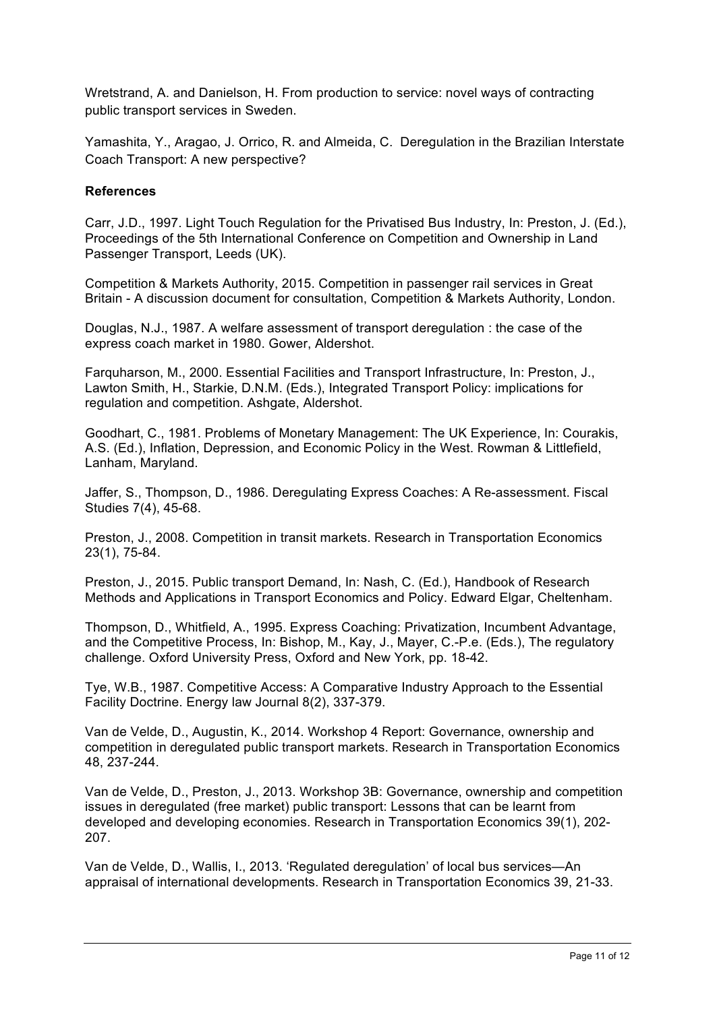Wretstrand, A. and Danielson, H. From production to service: novel ways of contracting public transport services in Sweden.

Yamashita, Y., Aragao, J. Orrico, R. and Almeida, C. Deregulation in the Brazilian Interstate Coach Transport: A new perspective?

### **References**

Carr, J.D., 1997. Light Touch Regulation for the Privatised Bus Industry, In: Preston, J. (Ed.), Proceedings of the 5th International Conference on Competition and Ownership in Land Passenger Transport, Leeds (UK).

Competition & Markets Authority, 2015. Competition in passenger rail services in Great Britain - A discussion document for consultation, Competition & Markets Authority, London.

Douglas, N.J., 1987. A welfare assessment of transport deregulation : the case of the express coach market in 1980. Gower, Aldershot.

Farquharson, M., 2000. Essential Facilities and Transport Infrastructure, In: Preston, J., Lawton Smith, H., Starkie, D.N.M. (Eds.), Integrated Transport Policy: implications for regulation and competition. Ashgate, Aldershot.

Goodhart, C., 1981. Problems of Monetary Management: The UK Experience, In: Courakis, A.S. (Ed.), Inflation, Depression, and Economic Policy in the West. Rowman & Littlefield, Lanham, Maryland.

Jaffer, S., Thompson, D., 1986. Deregulating Express Coaches: A Re-assessment. Fiscal Studies 7(4), 45-68.

Preston, J., 2008. Competition in transit markets. Research in Transportation Economics 23(1), 75-84.

Preston, J., 2015. Public transport Demand, In: Nash, C. (Ed.), Handbook of Research Methods and Applications in Transport Economics and Policy. Edward Elgar, Cheltenham.

Thompson, D., Whitfield, A., 1995. Express Coaching: Privatization, Incumbent Advantage, and the Competitive Process, In: Bishop, M., Kay, J., Mayer, C.-P.e. (Eds.), The regulatory challenge. Oxford University Press, Oxford and New York, pp. 18-42.

Tye, W.B., 1987. Competitive Access: A Comparative Industry Approach to the Essential Facility Doctrine. Energy law Journal 8(2), 337-379.

Van de Velde, D., Augustin, K., 2014. Workshop 4 Report: Governance, ownership and competition in deregulated public transport markets. Research in Transportation Economics 48, 237-244.

Van de Velde, D., Preston, J., 2013. Workshop 3B: Governance, ownership and competition issues in deregulated (free market) public transport: Lessons that can be learnt from developed and developing economies. Research in Transportation Economics 39(1), 202- 207.

Van de Velde, D., Wallis, I., 2013. 'Regulated deregulation' of local bus services—An appraisal of international developments. Research in Transportation Economics 39, 21-33.